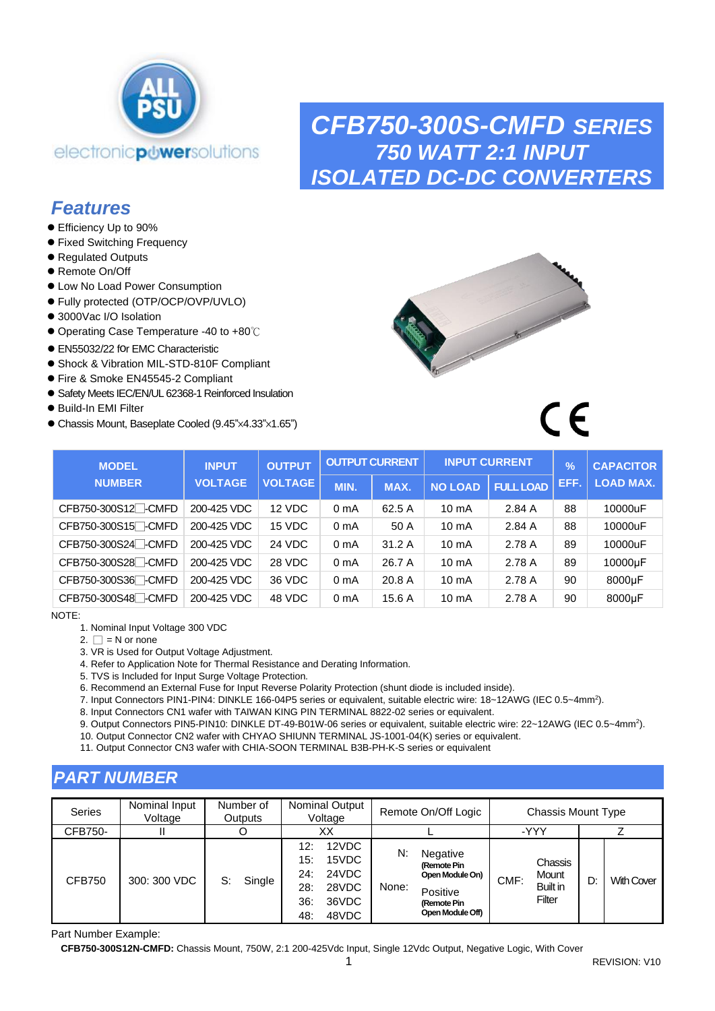

# *CFB750-300S-CMFD SERIES 750 WATT 2:1 INPUT ISOLATED DC-DC CONVERTERS*

# *Features*

- Efficiency Up to 90%
- ⚫ Fixed Switching Frequency
- Regulated Outputs
- Remote On/Off
- ⚫ Low No Load Power Consumption
- ⚫ Fully protected (OTP/OCP/OVP/UVLO)
- 3000Vac I/O Isolation
- ⚫ Operating Case Temperature -40 to +80℃
- EN55032/22 for EMC Characteristic
- ⚫ Shock & Vibration MIL-STD-810F Compliant
- Fire & Smoke EN45545-2 Compliant
- ⚫ Safety Meets IEC/EN/UL 62368-1 Reinforced Insulation
- Build-In EMI Filter
- ⚫ Chassis Mount, Baseplate Cooled (9.45"×4.33"×1.65")



 $\epsilon$ 

| <b>MODEL</b>                    | <b>INPUT</b>   | <b>OUTPUT</b>  |                  | <b>OUTPUT CURRENT</b> |                 | <b>INPUT CURRENT</b> | $\frac{9}{6}$ | <b>CAPACITOR</b> |
|---------------------------------|----------------|----------------|------------------|-----------------------|-----------------|----------------------|---------------|------------------|
| <b>NUMBER</b>                   | <b>VOLTAGE</b> | <b>VOLTAGE</b> | MIN.             | MAX.                  | <b>NO LOAD</b>  | <b>FULL LOAD</b>     | EFF.          | <b>LOAD MAX.</b> |
| CFB750-300S12 <sup>-</sup> CMFD | 200-425 VDC    | 12 VDC         | 0 <sub>m</sub> A | 62.5 A                | $10 \text{ mA}$ | 2.84A                | 88            | 10000uF          |
| CFB750-300S15 <sup>-</sup> CMFD | 200-425 VDC    | 15 VDC         | 0 <sub>m</sub> A | 50 A                  | $10 \text{ mA}$ | 2.84A                | 88            | 10000uF          |
| CFB750-300S24 - CMFD            | 200-425 VDC    | 24 VDC         | 0 <sub>m</sub> A | 31.2A                 | $10 \text{ mA}$ | 2.78 A               | 89            | 10000uF          |
| CFB750-300S28 <sup>-</sup> CMFD | 200-425 VDC    | 28 VDC         | 0 <sub>m</sub> A | 26.7 A                | $10 \text{ mA}$ | 2.78 A               | 89            | 10000µF          |
| CFB750-300S36 <sup>-CMFD</sup>  | 200-425 VDC    | 36 VDC         | 0 <sub>m</sub> A | 20.8 A                | $10 \text{ mA}$ | 2.78 A               | 90            | 8000µF           |
| CFB750-300S48 - CMFD            | 200-425 VDC    | 48 VDC         | 0 <sub>m</sub> A | 15.6A                 | $10 \text{ mA}$ | 2.78 A               | 90            | 8000µF           |

NOTE:

1. Nominal Input Voltage 300 VDC

2.  $\Box$  = N or none

3. VR is Used for Output Voltage Adjustment.

4. Refer to Application Note for Thermal Resistance and Derating Information.

5. TVS is Included for Input Surge Voltage Protection.

6. Recommend an External Fuse for Input Reverse Polarity Protection (shunt diode is included inside).

7. Input Connectors PIN1-PIN4: DINKLE 166-04P5 series or equivalent, suitable electric wire: 18~12AWG (IEC 0.5~4mm<sup>2</sup>).

8. Input Connectors CN1 wafer with TAIWAN KING PIN TERMINAL 8822-02 series or equivalent.

9. Output Connectors PIN5-PIN10: DINKLE DT-49-B01W-06 series or equivalent, suitable electric wire: 22~12AWG (IEC 0.5~4mm<sup>2</sup>).

10. Output Connector CN2 wafer with CHYAO SHIUNN TERMINAL JS-1001-04(K) series or equivalent.

11. Output Connector CN3 wafer with CHIA-SOON TERMINAL B3B-PH-K-S series or equivalent

# *PART NUMBER*

| <b>Series</b> | Nominal Input<br>Voltage | Number of<br>Outputs | <b>Nominal Output</b><br>Voltage                                                             | Remote On/Off Logic                                                                                      | <b>Chassis Mount Type</b>                             |                         |  |  |
|---------------|--------------------------|----------------------|----------------------------------------------------------------------------------------------|----------------------------------------------------------------------------------------------------------|-------------------------------------------------------|-------------------------|--|--|
| CFB750-       |                          |                      | xх                                                                                           |                                                                                                          | -YYY                                                  |                         |  |  |
| <b>CFB750</b> | 300: 300 VDC             | Single<br>S:         | 12VDC<br>12:<br>15VDC<br>15:<br>24VDC<br>24:<br>28VDC<br>28:<br>36VDC<br>36:<br>48VDC<br>48: | N:<br>Negative<br>(Remote Pin<br>Open Module On)<br>None:<br>Positive<br>(Remote Pin<br>Open Module Off) | Chassis<br>Mount<br>CMF:<br><b>Built in</b><br>Filter | <b>With Cover</b><br>D: |  |  |

Part Number Example:

**CFB750-300S12N-CMFD:** Chassis Mount, 750W, 2:1 200-425Vdc Input, Single 12Vdc Output, Negative Logic, With Cover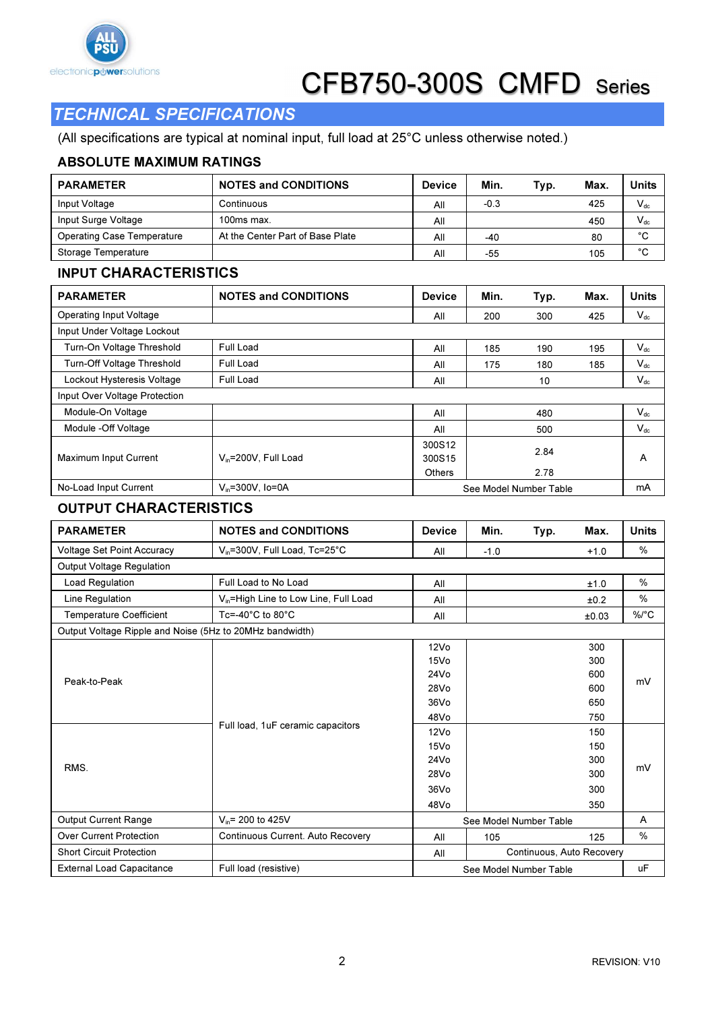

# TECHNICAL SPECIFICATIONS

(All specifications are typical at nominal input, full load at 25°C unless otherwise noted.)

#### ABSOLUTE MAXIMUM RATINGS

| <b>PARAMETER</b>           | <b>NOTES and CONDITIONS</b>      | <b>Device</b> | Min.   | Typ. | Max. | <b>Units</b> |
|----------------------------|----------------------------------|---------------|--------|------|------|--------------|
| Input Voltage              | Continuous                       | All           | $-0.3$ |      | 425  | $V_{dc}$     |
| Input Surge Voltage        | $100ms$ max.                     | All           |        |      | 450  | $V_{dc}$     |
| Operating Case Temperature | At the Center Part of Base Plate | All           | $-40$  |      | 80   | °C           |
| Storage Temperature        |                                  | All           | -55    |      | 105  | °C           |

### INPUT CHARACTERISTICS

| <b>PARAMETER</b>               | <b>NOTES and CONDITIONS</b> | <b>Device</b>    | Min.                   | Typ. | Max. | <b>Units</b> |  |
|--------------------------------|-----------------------------|------------------|------------------------|------|------|--------------|--|
| <b>Operating Input Voltage</b> |                             | All              | 200                    | 300  | 425  | $V_{dc}$     |  |
| Input Under Voltage Lockout    |                             |                  |                        |      |      |              |  |
| Turn-On Voltage Threshold      | Full Load                   | All              | 185                    | 190  | 195  | $V_{dc}$     |  |
| Turn-Off Voltage Threshold     | Full Load                   | All              | 175                    | 180  | 185  | $V_{dc}$     |  |
| Lockout Hysteresis Voltage     | Full Load                   | All              |                        | 10   |      | $V_{dc}$     |  |
| Input Over Voltage Protection  |                             |                  |                        |      |      |              |  |
| Module-On Voltage              |                             | All              |                        | 480  |      | $V_{dc}$     |  |
| Module -Off Voltage            |                             | All              |                        | 500  |      | $V_{dc}$     |  |
| <b>Maximum Input Current</b>   | $V_{in}$ =200V, Full Load   | 300S12<br>300S15 |                        | 2.84 |      | А            |  |
|                                |                             | <b>Others</b>    |                        | 2.78 |      |              |  |
| No-Load Input Current          | $V_{in} = 300V$ . Io=0A     |                  | See Model Number Table |      |      |              |  |

### OUTPUT CHARACTERISTICS

| <b>PARAMETER</b>                                         | <b>NOTES and CONDITIONS</b>                       | <b>Device</b>                    | Min.                   | Typ.<br>Max. | Units |
|----------------------------------------------------------|---------------------------------------------------|----------------------------------|------------------------|--------------|-------|
| <b>Voltage Set Point Accuracy</b>                        | V <sub>in</sub> =300V, Full Load, Tc=25°C         | All                              | $-1.0$                 | $+1.0$       | $\%$  |
| <b>Output Voltage Regulation</b>                         |                                                   |                                  |                        |              |       |
| Load Regulation                                          | Full Load to No Load                              | All                              |                        | ±1.0         | $\%$  |
| Line Regulation                                          | V <sub>in</sub> =High Line to Low Line, Full Load | All                              |                        | ±0.2         | %     |
| <b>Temperature Coefficient</b>                           | Tc=-40 $^{\circ}$ C to 80 $^{\circ}$ C            | All                              |                        | ±0.03        | %/°C  |
| Output Voltage Ripple and Noise (5Hz to 20MHz bandwidth) |                                                   |                                  |                        |              |       |
|                                                          |                                                   | 12V <sub>0</sub>                 |                        | 300          |       |
|                                                          |                                                   | 15V <sub>O</sub>                 |                        | 300          |       |
| Peak-to-Peak                                             |                                                   | 24V <sub>0</sub>                 |                        | 600          | mV    |
|                                                          |                                                   | 28Vo                             |                        | 600          |       |
|                                                          |                                                   | 36V <sub>0</sub>                 |                        | 650          |       |
|                                                          |                                                   | 48Vo                             |                        | 750          |       |
|                                                          | Full load, 1uF ceramic capacitors                 | 12V <sub>0</sub>                 |                        | 150          |       |
|                                                          |                                                   | 15V <sub>O</sub>                 |                        | 150          |       |
|                                                          |                                                   | 24V <sub>0</sub>                 |                        | 300          |       |
| RMS.                                                     |                                                   | 28Vo                             |                        | 300          | mV    |
|                                                          |                                                   | 36V <sub>0</sub>                 |                        | 300          |       |
|                                                          |                                                   | 48Vo                             |                        | 350          |       |
| <b>Output Current Range</b>                              | $V_{in}$ = 200 to 425V                            |                                  | See Model Number Table |              | A     |
| <b>Over Current Protection</b>                           | Continuous Current. Auto Recovery                 | All                              | 105                    | 125          | $\%$  |
| <b>Short Circuit Protection</b>                          |                                                   | Continuous, Auto Recovery<br>All |                        |              |       |
| <b>External Load Capacitance</b>                         | Full load (resistive)                             | See Model Number Table           | <b>uF</b>              |              |       |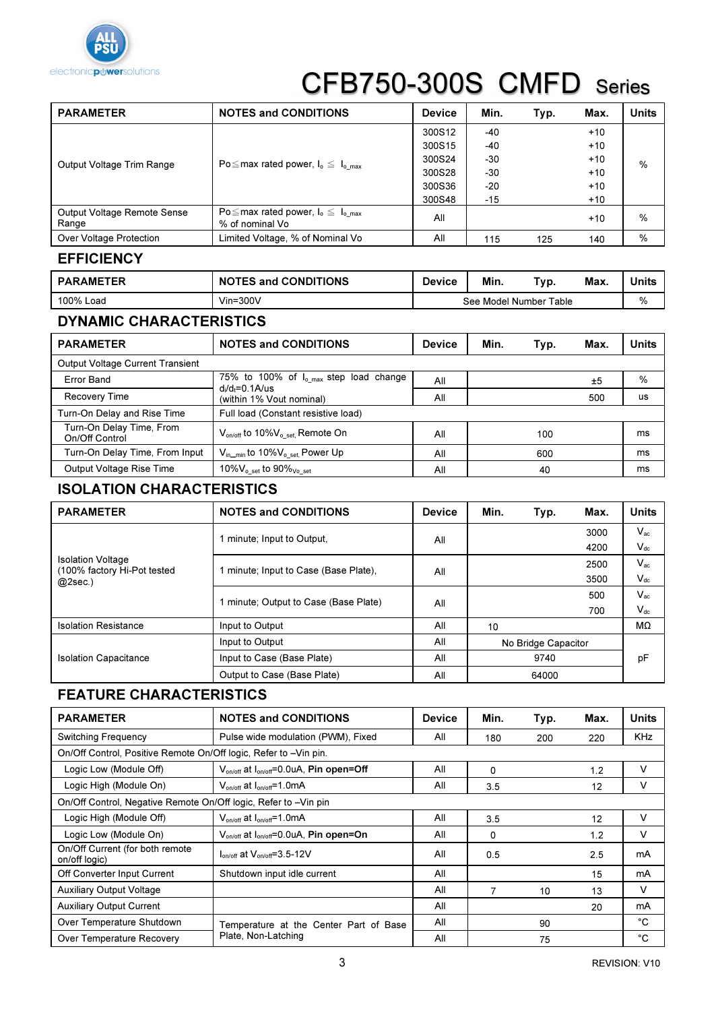

| <b>PARAMETER</b>                     | <b>NOTES and CONDITIONS</b>                                        | <b>Device</b> | Min.  | Typ. | Max.  | Units |
|--------------------------------------|--------------------------------------------------------------------|---------------|-------|------|-------|-------|
| Output Voltage Trim Range            |                                                                    | 300S12        | -40   |      | $+10$ |       |
|                                      |                                                                    | 300S15        | $-40$ |      | $+10$ |       |
|                                      | Po $\leq$ max rated power, $I_o \leq I_o_{max}$                    | 300S24        | -30   |      | $+10$ | $\%$  |
|                                      |                                                                    | 300S28        | -30   |      | $+10$ |       |
|                                      |                                                                    | 300S36        | $-20$ |      | $+10$ |       |
|                                      |                                                                    | 300S48        | -15   |      | $+10$ |       |
| Output Voltage Remote Sense<br>Range | Po $\leq$ max rated power, $I_o \leq I_{o,max}$<br>% of nominal Vo | All           |       |      | $+10$ | %     |
| Over Voltage Protection              | Limited Voltage, % of Nominal Vo                                   | All           | 115   | 125  | 140   | %     |

### **EFFICIENCY**

| <b>PARAMETER</b> | <b>NOTES and CONDITIONS</b> | Device                 | Min. | $\tau_{\text{VP}}$ . | Max. | Units |
|------------------|-----------------------------|------------------------|------|----------------------|------|-------|
| 100% Load        | $V$ in=300 $V$              | See Model Number Table |      |                      |      | %     |

#### DYNAMIC CHARACTERISTICS

| <b>PARAMETER</b>                           | <b>NOTES and CONDITIONS</b>                                              | <b>Device</b> | Min. | Typ. | Max. | Units |  |  |  |
|--------------------------------------------|--------------------------------------------------------------------------|---------------|------|------|------|-------|--|--|--|
| <b>Output Voltage Current Transient</b>    |                                                                          |               |      |      |      |       |  |  |  |
| Error Band                                 | 75% to 100% of I <sub>o_max</sub> step load change<br>$d/d_t = 0.1$ A/us | All           |      |      | ±5   | %     |  |  |  |
| Recovery Time                              | (within 1% Vout nominal)                                                 | All           |      |      | 500  | us    |  |  |  |
| Turn-On Delay and Rise Time                | Full load (Constant resistive load)                                      |               |      |      |      |       |  |  |  |
| Turn-On Delay Time, From<br>On/Off Control | V <sub>on/off</sub> to 10%V <sub>o_set</sub> , Remote On                 | All           |      | 100  |      | ms    |  |  |  |
| Turn-On Delay Time, From Input             | $V_{in\_min}$ to 10% $V_{o\_set}$ , Power Up                             | All           |      | 600  |      | ms    |  |  |  |
| Output Voltage Rise Time                   | 10% $V_{o, set}$ to 90% $_{Vo, set}$                                     | All           |      | 40   |      | ms    |  |  |  |

### ISOLATION CHARACTERISTICS

| <b>PARAMETER</b>                                                      | <b>NOTES and CONDITIONS</b>           | <b>Device</b> | Min.                | Typ.     | Max. | <b>Units</b>               |
|-----------------------------------------------------------------------|---------------------------------------|---------------|---------------------|----------|------|----------------------------|
| <b>Isolation Voltage</b><br>(100% factory Hi-Pot tested<br>$@2sec.$ ) | 1 minute; Input to Output.            |               |                     |          | 3000 | $V_{ac}$                   |
|                                                                       |                                       | All           |                     |          | 4200 | $V_{dc}$                   |
|                                                                       | 1 minute; Input to Case (Base Plate), |               |                     |          | 2500 | $V_{ac}$                   |
|                                                                       |                                       | All<br>3500   |                     | $V_{dc}$ |      |                            |
|                                                                       | 1 minute; Output to Case (Base Plate) | All           |                     |          | 500  | $V_{ac}$                   |
|                                                                       |                                       |               |                     |          | 700  | $\mathsf{V}_{\mathsf{dc}}$ |
| <b>Isolation Resistance</b>                                           | Input to Output                       | All           | 10                  |          |      | MΩ                         |
|                                                                       | Input to Output                       | All           | No Bridge Capacitor |          |      |                            |
| <b>Isolation Capacitance</b>                                          | Input to Case (Base Plate)            | All           |                     | 9740     |      | рF                         |
|                                                                       | Output to Case (Base Plate)           | All           |                     | 64000    |      |                            |

### FEATURE CHARACTERISTICS

| <b>PARAMETER</b>                                                 | <b>NOTES and CONDITIONS</b>                                     | <b>Device</b> | Min.     | Typ. | Max. | <b>Units</b> |  |  |
|------------------------------------------------------------------|-----------------------------------------------------------------|---------------|----------|------|------|--------------|--|--|
| <b>Switching Frequency</b>                                       | Pulse wide modulation (PWM), Fixed                              | All           | 180      | 200  | 220  | <b>KHz</b>   |  |  |
| On/Off Control, Positive Remote On/Off logic, Refer to -Vin pin. |                                                                 |               |          |      |      |              |  |  |
| Logic Low (Module Off)                                           | V <sub>on/off</sub> at I <sub>on/off</sub> =0.0uA, Pin open=Off | All           | $\Omega$ |      | 1.2  | v            |  |  |
| Logic High (Module On)                                           | $V_{on/off}$ at $I_{on/off} = 1.0 \text{mA}$                    | All           | 3.5      |      | 12   | v            |  |  |
| On/Off Control, Negative Remote On/Off logic, Refer to -Vin pin  |                                                                 |               |          |      |      |              |  |  |
| Logic High (Module Off)                                          | $V_{on/off}$ at $I_{on/off} = 1.0 \text{mA}$                    | All           | 3.5      |      | 12   | v            |  |  |
| Logic Low (Module On)                                            | $V_{on/off}$ at $I_{on/off} = 0.0$ uA, Pin open=On              | All           | 0        |      | 1.2  | v            |  |  |
| On/Off Current (for both remote<br>on/off logic)                 | $I_{on/off}$ at $V_{on/off}$ =3.5-12V                           | All           | 0.5      |      | 2.5  | mA           |  |  |
| Off Converter Input Current                                      | Shutdown input idle current                                     | All           |          |      | 15   | mA           |  |  |
| <b>Auxiliary Output Voltage</b>                                  |                                                                 | All           | 7        | 10   | 13   | v            |  |  |
| <b>Auxiliary Output Current</b>                                  |                                                                 | All           |          |      | 20   | mA           |  |  |
| Over Temperature Shutdown                                        | Temperature at the Center Part of Base                          | All           |          | 90   |      | °C           |  |  |
| Over Temperature Recovery                                        | Plate, Non-Latching                                             | All           |          | 75   |      | °C           |  |  |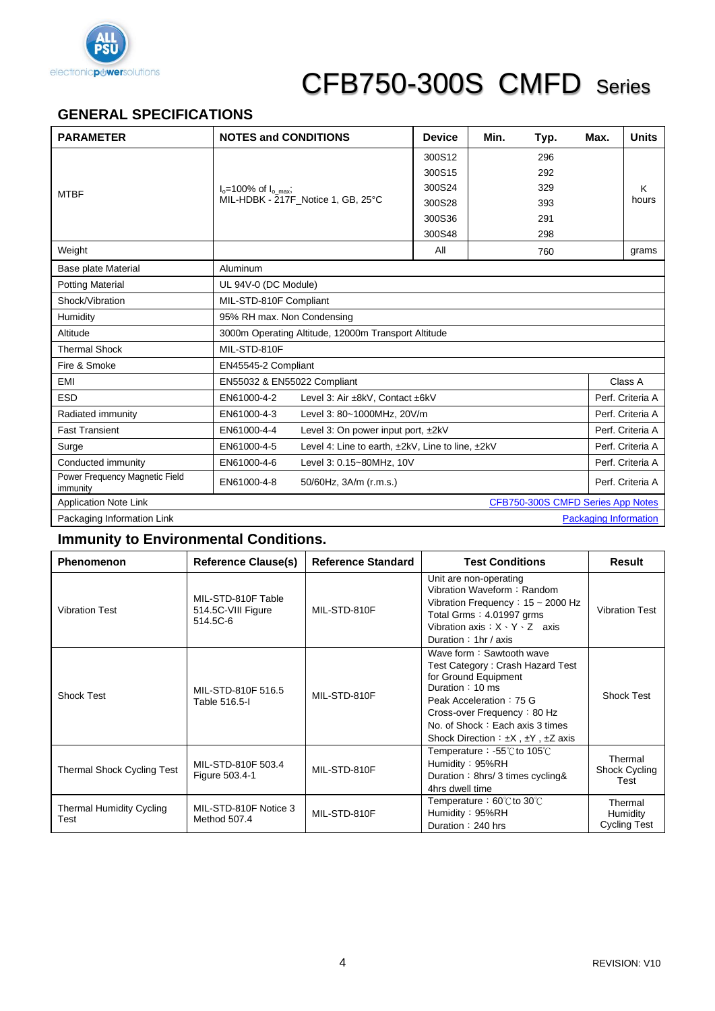

## **GENERAL SPECIFICATIONS**

| <b>PARAMETER</b>                                                  | <b>NOTES and CONDITIONS</b>                                     | <b>Device</b> | Min. | Typ. | Max. | <b>Units</b>     |  |  |
|-------------------------------------------------------------------|-----------------------------------------------------------------|---------------|------|------|------|------------------|--|--|
|                                                                   |                                                                 | 300S12        |      | 296  |      |                  |  |  |
|                                                                   |                                                                 | 300S15        |      | 292  |      |                  |  |  |
| <b>MTBF</b>                                                       | $I_0$ =100% of $I_0$ <sub>max</sub> ;                           | 300S24        |      | 329  |      | K                |  |  |
|                                                                   | MIL-HDBK - 217F Notice 1, GB, 25°C                              | 300S28        |      | 393  |      | hours            |  |  |
|                                                                   |                                                                 | 300S36        |      | 291  |      |                  |  |  |
|                                                                   |                                                                 | 300S48        |      | 298  |      |                  |  |  |
| Weight                                                            |                                                                 | All           |      | 760  |      | grams            |  |  |
| <b>Base plate Material</b>                                        | Aluminum                                                        |               |      |      |      |                  |  |  |
| <b>Potting Material</b>                                           | UL 94V-0 (DC Module)                                            |               |      |      |      |                  |  |  |
| Shock/Vibration                                                   | MIL-STD-810F Compliant                                          |               |      |      |      |                  |  |  |
| Humidity                                                          | 95% RH max. Non Condensing                                      |               |      |      |      |                  |  |  |
| Altitude                                                          | 3000m Operating Altitude, 12000m Transport Altitude             |               |      |      |      |                  |  |  |
| <b>Thermal Shock</b>                                              | MIL-STD-810F                                                    |               |      |      |      |                  |  |  |
| Fire & Smoke                                                      | EN45545-2 Compliant                                             |               |      |      |      |                  |  |  |
| EMI                                                               | EN55032 & EN55022 Compliant                                     |               |      |      |      | Class A          |  |  |
| <b>ESD</b>                                                        | EN61000-4-2<br>Level 3: Air ±8kV, Contact ±6kV                  |               |      |      |      | Perf. Criteria A |  |  |
| Radiated immunity                                                 | EN61000-4-3<br>Level 3: 80~1000MHz, 20V/m                       |               |      |      |      | Perf. Criteria A |  |  |
| <b>Fast Transient</b>                                             | EN61000-4-4<br>Level 3: On power input port, ±2kV               |               |      |      |      | Perf. Criteria A |  |  |
| Surge                                                             | EN61000-4-5<br>Level 4: Line to earth, ±2kV, Line to line, ±2kV |               |      |      |      | Perf. Criteria A |  |  |
| Conducted immunity                                                | EN61000-4-6<br>Level 3: 0.15~80MHz, 10V                         |               |      |      |      | Perf. Criteria A |  |  |
| Power Frequency Magnetic Field<br>immunity                        | EN61000-4-8<br>50/60Hz, 3A/m (r.m.s.)                           |               |      |      |      | Perf. Criteria A |  |  |
| <b>Application Note Link</b><br>CFB750-300S CMFD Series App Notes |                                                                 |               |      |      |      |                  |  |  |
| Packaging Information Link<br><b>Packaging Information</b>        |                                                                 |               |      |      |      |                  |  |  |

### **Immunity to Environmental Conditions.**

| <b>Phenomenon</b>                       | <b>Reference Clause(s)</b>                           | <b>Reference Standard</b> | <b>Test Conditions</b>                                                                                                                                                                                                                                     | Result                                     |
|-----------------------------------------|------------------------------------------------------|---------------------------|------------------------------------------------------------------------------------------------------------------------------------------------------------------------------------------------------------------------------------------------------------|--------------------------------------------|
| <b>Vibration Test</b>                   | MIL-STD-810F Table<br>514.5C-VIII Figure<br>514.5C-6 | MIL-STD-810F              | Unit are non-operating<br>Vibration Waveform: Random<br>Vibration Frequency: $15 \sim 2000$ Hz<br>Total Grms: 4.01997 grms<br>Vibration axis: $X \cdot Y \cdot Z$ axis<br>Duration : $1hr / axis$                                                          | <b>Vibration Test</b>                      |
| <b>Shock Test</b>                       | MIL-STD-810F 516.5<br>Table 516.5-I                  | MIL-STD-810F              | Wave form: Sawtooth wave<br>Test Category: Crash Hazard Test<br>for Ground Equipment<br>Duration: 10 ms<br>Peak Acceleration: 75 G<br>Cross-over Frequency: 80 Hz<br>No. of Shock: Each axis 3 times<br>Shock Direction : $\pm X$ , $\pm Y$ , $\pm Z$ axis | Shock Test                                 |
| <b>Thermal Shock Cycling Test</b>       | MIL-STD-810F 503.4<br>Figure 503.4-1                 | MIL-STD-810F              | Temperature: $-55^{\circ}$ C to 105 $\circ$ C<br>Humidity: 95%RH<br>Duration: 8hrs/3 times cycling&<br>4hrs dwell time                                                                                                                                     | Thermal<br>Shock Cycling<br>Test           |
| <b>Thermal Humidity Cycling</b><br>Test | MIL-STD-810F Notice 3<br>Method 507.4                | MIL-STD-810F              | Temperature: $60^{\circ}$ to $30^{\circ}$<br>Humidity: 95%RH<br>Duration: 240 hrs                                                                                                                                                                          | Thermal<br>Humidity<br><b>Cycling Test</b> |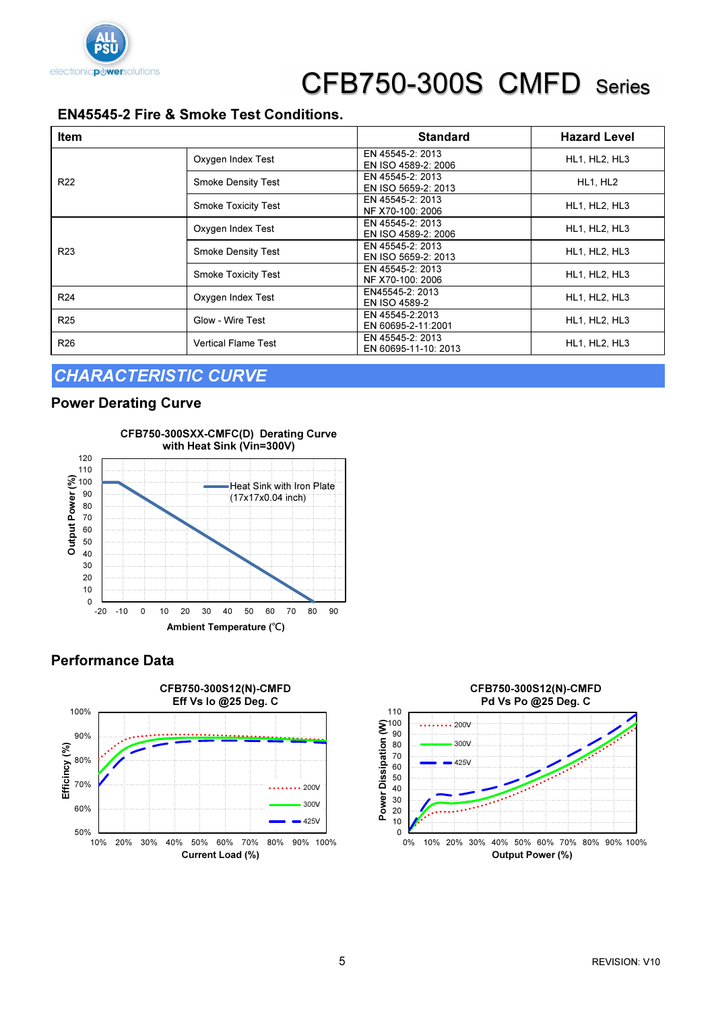

### EN45545-2 Fire & Smoke Test Conditions.

| <b>Item</b>     |                            | <b>Standard</b>                          | <b>Hazard Level</b>  |
|-----------------|----------------------------|------------------------------------------|----------------------|
| R <sub>22</sub> | Oxygen Index Test          | EN 45545-2: 2013<br>EN ISO 4589-2: 2006  | <b>HL1, HL2, HL3</b> |
|                 | <b>Smoke Density Test</b>  | EN 45545-2: 2013<br>EN ISO 5659-2: 2013  | HL1, HL2             |
|                 | <b>Smoke Toxicity Test</b> | EN 45545-2: 2013<br>NF X70-100: 2006     | <b>HL1, HL2, HL3</b> |
| R <sub>23</sub> | Oxygen Index Test          | EN 45545-2: 2013<br>EN ISO 4589-2: 2006  | HL1, HL2, HL3        |
|                 | <b>Smoke Density Test</b>  | EN 45545-2: 2013<br>EN ISO 5659-2: 2013  | HL1, HL2, HL3        |
|                 | <b>Smoke Toxicity Test</b> | EN 45545-2: 2013<br>NF X70-100: 2006     | <b>HL1, HL2, HL3</b> |
| R <sub>24</sub> | Oxygen Index Test          | EN45545-2: 2013<br><b>EN ISO 4589-2</b>  | <b>HL1, HL2, HL3</b> |
| R <sub>25</sub> | Glow - Wire Test           | EN 45545-2:2013<br>EN 60695-2-11:2001    | HL1, HL2, HL3        |
| R <sub>26</sub> | <b>Vertical Flame Test</b> | EN 45545-2: 2013<br>EN 60695-11-10: 2013 | HL1, HL2, HL3        |

### CHARACTERISTIC CURVE

#### Power Derating Curve



#### Performance Data



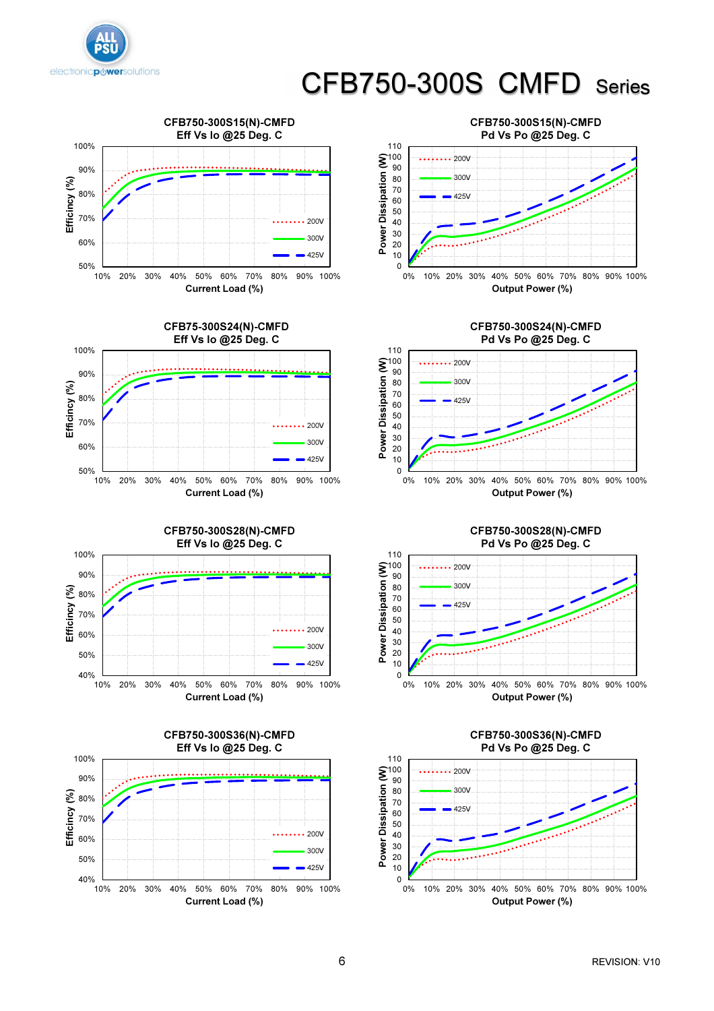













CFB750-300S28(N)-CMFD Pd Vs Po @25 Deg. C